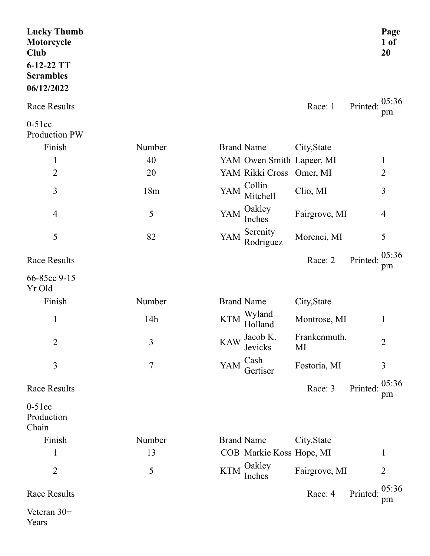| <b>Lucky Thumb</b><br>Motorcycle<br><b>Club</b><br>6-12-22 TT<br><b>Scrambles</b><br>06/12/2022 |        |                                                         | Page<br>$1$ of<br>20 |
|-------------------------------------------------------------------------------------------------|--------|---------------------------------------------------------|----------------------|
| <b>Race Results</b>                                                                             |        | Race: 1<br>Printed:                                     | 05:36<br>pm          |
| $0-51cc$<br>Production PW                                                                       |        |                                                         |                      |
| Finish                                                                                          | Number | <b>Brand Name</b><br>City, State                        |                      |
| $\mathbf{1}$                                                                                    | 40     | YAM Owen Smith Lapeer, MI                               | $\mathbf{1}$         |
| $\overline{2}$                                                                                  | 20     | YAM Rikki Cross Omer, MI                                | $\overline{2}$       |
| 3                                                                                               | 18m    | Collin<br>YAM<br>Clio, MI<br>Mitchell                   | 3                    |
| $\overline{4}$                                                                                  | 5      | Oakley<br>YAM<br>Fairgrove, MI<br>Inches                | $\overline{4}$       |
| 5                                                                                               | 82     | Serenity<br>YAM<br>Morenci, MI<br>Rodriguez             | 5                    |
| <b>Race Results</b>                                                                             |        | Race: 2<br>Printed:                                     | 05:36<br>pm          |
| 66-85cc 9-15<br>Yr Old                                                                          |        |                                                         |                      |
| Finish                                                                                          | Number | <b>Brand Name</b><br>City, State                        |                      |
| $\mathbf{1}$                                                                                    | 14h    | Wyland<br><b>KTM</b><br>Montrose, MI<br>Holland         | $\mathbf{1}$         |
| $\overline{2}$                                                                                  | 3      | Jacob K.<br>Frankenmuth,<br><b>KAW</b><br>Jevicks<br>MI | $\overline{2}$       |
| 3                                                                                               | $\tau$ | Cash<br><b>YAM</b><br>Fostoria, MI<br>Gertiser          | 3                    |
| <b>Race Results</b>                                                                             |        | Printed:<br>Race: 3                                     | 05:36<br>pm          |
| $0-51cc$<br>Production<br>Chain                                                                 |        |                                                         |                      |
| Finish                                                                                          | Number | <b>Brand Name</b><br>City, State                        |                      |
| $\mathbf{1}$                                                                                    | 13     | COB Markie Koss Hope, MI                                | 1                    |
| $\overline{2}$                                                                                  | 5      | Oakley<br><b>KTM</b><br>Fairgrove, MI<br>Inches         | $\overline{2}$       |
| Race Results                                                                                    |        | Race: 4<br>Printed:                                     | 05:36<br>pm          |
| Veteran 30+<br>Years                                                                            |        |                                                         |                      |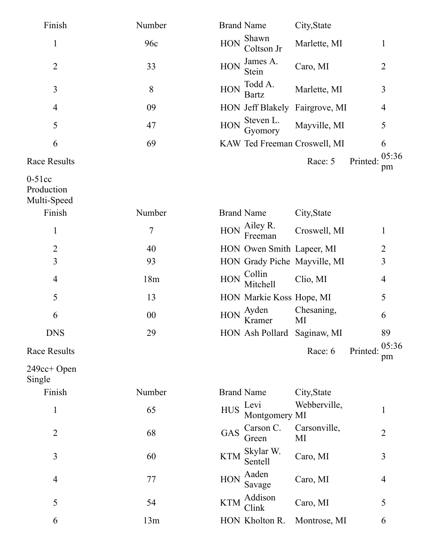| Finish                                | Number         | <b>Brand Name</b><br>City, State                                         |       |
|---------------------------------------|----------------|--------------------------------------------------------------------------|-------|
| $\mathbf{1}$                          | 96c            | Shawn<br><b>HON</b><br>Marlette, MI<br>$\mathbf{1}$<br>Coltson Jr        |       |
| $\overline{2}$                        | 33             | James A.<br><b>HON</b><br>Caro, MI<br>$\overline{2}$<br>Stein            |       |
| 3                                     | 8              | Todd A.<br><b>HON</b><br>Marlette, MI<br>3<br><b>Bartz</b>               |       |
| $\overline{4}$                        | 09             | HON Jeff Blakely Fairgrove, MI<br>$\overline{4}$                         |       |
| 5                                     | 47             | Steven L.<br><b>HON</b><br>Mayville, MI<br>5<br>Gyomory                  |       |
| 6                                     | 69             | KAW Ted Freeman Croswell, MI<br>6                                        |       |
| <b>Race Results</b>                   |                | Race: 5<br>Printed:<br>pm                                                | 05:36 |
| $0-51cc$<br>Production<br>Multi-Speed |                |                                                                          |       |
| Finish                                | Number         | <b>Brand Name</b><br>City, State                                         |       |
| $\mathbf{1}$                          | $\overline{7}$ | Ailey R.<br><b>HON</b><br>Croswell, MI<br>1<br>Freeman                   |       |
| $\overline{2}$                        | 40             | HON Owen Smith Lapeer, MI<br>$\overline{2}$                              |       |
| 3                                     | 93             | 3<br>HON Grady Piche Mayville, MI                                        |       |
| $\overline{4}$                        | 18m            | Collin<br><b>HON</b><br>Clio, MI<br>$\overline{4}$<br>Mitchell           |       |
| 5                                     | 13             | 5<br>HON Markie Koss Hope, MI                                            |       |
| 6                                     | 00             | Chesaning,<br>Ayden<br><b>HON</b><br>6<br>Kramer<br>MI                   |       |
| <b>DNS</b>                            | 29             | HON Ash Pollard Saginaw, MI<br>89                                        |       |
| <b>Race Results</b>                   |                | Race: 6<br>Printed:<br>pm                                                | 05:36 |
| 249cc+ Open<br>Single                 |                |                                                                          |       |
| Finish                                | Number         | <b>Brand Name</b><br>City, State                                         |       |
| $\mathbf{1}$                          | 65             | Webberville,<br>Levi<br><b>HUS</b><br>1<br>Montgomery MI                 |       |
| $\overline{2}$                        | 68             | Carson C.<br>Carsonville,<br><b>GAS</b><br>$\overline{2}$<br>MI<br>Green |       |
| 3                                     | 60             | Skylar W.<br><b>KTM</b><br>3<br>Caro, MI<br>Sentell                      |       |
| $\overline{4}$                        | 77             | Aaden<br><b>HON</b><br>Caro, MI<br>$\overline{4}$<br>Savage              |       |
| 5                                     | 54             | Addison<br><b>KTM</b><br>Caro, MI<br>5<br>Clink                          |       |
| 6                                     | 13m            | HON Kholton R.<br>Montrose, MI<br>6                                      |       |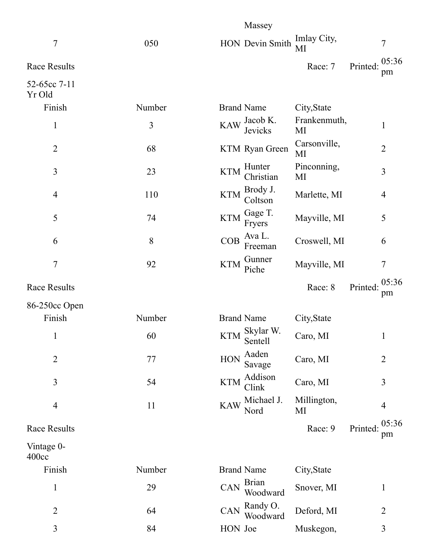|                                 |        | Massey                                             |                    |                         |
|---------------------------------|--------|----------------------------------------------------|--------------------|-------------------------|
| 7                               | 050    | HON Devin Smith                                    | Imlay City,<br>MI  | $\tau$                  |
| <b>Race Results</b>             |        |                                                    | Race: 7            | 05:36<br>Printed:<br>pm |
| 52-65cc 7-11<br>Yr Old          |        |                                                    |                    |                         |
| Finish                          | Number | <b>Brand Name</b>                                  | City, State        |                         |
| $\mathbf{1}$                    | 3      | Jacob K.<br><b>KAW</b><br>Jevicks                  | Frankenmuth,<br>MI | $\mathbf{1}$            |
| $\overline{2}$                  | 68     | KTM Ryan Green                                     | Carsonville,<br>MI | $\overline{2}$          |
| $\overline{3}$                  | 23     | Hunter<br><b>KTM</b><br>Christian                  | Pinconning,<br>MI  | 3                       |
| $\overline{4}$                  | 110    | Brody J.<br><b>KTM</b><br>Coltson                  | Marlette, MI       | 4                       |
| 5                               | 74     | Gage T.<br><b>KTM</b><br>Fryers                    | Mayville, MI       | 5                       |
| 6                               | 8      | Ava L.<br>COB<br>Freeman                           | Croswell, MI       | 6                       |
| $\overline{7}$                  | 92     | Gunner<br><b>KTM</b><br>Piche                      | Mayville, MI       | $\tau$                  |
| <b>Race Results</b>             |        |                                                    | Race: 8            | 05:36<br>Printed:<br>pm |
| 86-250cc Open                   |        |                                                    |                    |                         |
| Finish                          | Number | <b>Brand Name</b>                                  | City, State        |                         |
| $\mathbf{1}$                    | 60     | KTM $\frac{\text{Skylar W.}}{\text{c}}$<br>Sentell | Caro, MI           | $\mathbf{1}$            |
| $\overline{2}$                  | 77     | Aaden<br>HON<br>Savage                             | Caro, MI           | $\overline{2}$          |
| $\overline{3}$                  | 54     | Addison<br><b>KTM</b><br>Clink                     | Caro, MI           | 3                       |
| $\overline{4}$                  | 11     | Michael J.<br><b>KAW</b><br>Nord                   | Millington,<br>MI  | 4                       |
| <b>Race Results</b>             |        |                                                    | Race: 9            | 05:36<br>Printed:<br>pm |
| Vintage 0-<br>400 <sub>cc</sub> |        |                                                    |                    |                         |
| Finish                          | Number | <b>Brand Name</b>                                  | City, State        |                         |
| $\mathbf{1}$                    | 29     | <b>Brian</b><br>CAN<br>Woodward                    | Snover, MI         | $\mathbf{1}$            |
| $\overline{2}$                  | 64     | Randy O.<br>CAN<br>Woodward                        | Deford, MI         | $\overline{2}$          |
| 3                               | 84     | HON Joe                                            | Muskegon,          | $\overline{3}$          |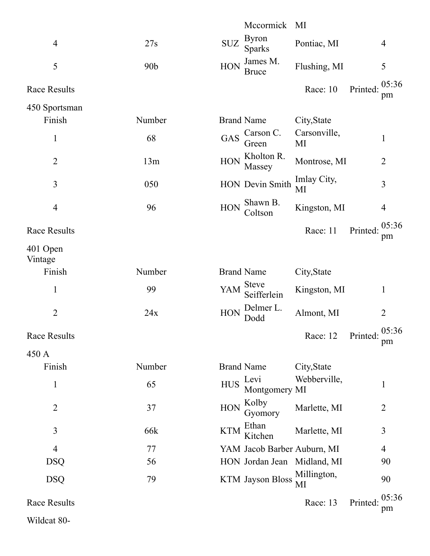|                     |                 | Mccormick MI                                                                 |
|---------------------|-----------------|------------------------------------------------------------------------------|
| $\overline{4}$      | 27s             | <b>Byron</b><br><b>SUZ</b><br>Pontiac, MI<br>$\overline{4}$<br><b>Sparks</b> |
| 5                   | 90 <sub>b</sub> | James M.<br><b>HON</b><br>Flushing, MI<br>5<br><b>Bruce</b>                  |
| <b>Race Results</b> |                 | 05:36<br>Race: 10<br>Printed:<br>pm                                          |
| 450 Sportsman       |                 |                                                                              |
| Finish              | Number          | <b>Brand Name</b><br>City, State                                             |
| $\mathbf{1}$        | 68              | Carsonville,<br>Carson C.<br>GAS<br>1<br>MI<br>Green                         |
| $\overline{2}$      | 13m             | Kholton R.<br>$\rm HON$<br>Montrose, MI<br>$\overline{2}$<br>Massey          |
| 3                   | 050             | Imlay City,<br>HON Devin Smith<br>3<br>MI                                    |
| $\overline{4}$      | 96              | Shawn B.<br><b>HON</b><br>Kingston, MI<br>$\overline{4}$<br>Coltson          |
| <b>Race Results</b> |                 | 05:36<br>Printed:<br>Race: 11<br>pm                                          |
| 401 Open<br>Vintage |                 |                                                                              |
| Finish              | Number          | <b>Brand Name</b><br>City, State                                             |
| $\mathbf 1$         | 99              | <b>Steve</b><br>YAM<br>Kingston, MI<br>$\mathbf 1$<br>Seifferlein            |
| $\overline{2}$      | 24x             | Delmer L.<br><b>HON</b><br>Almont, MI<br>$\overline{2}$<br>Dodd              |
| Race Results        |                 | 05:36<br>Race: 12<br>Printed:<br>pm                                          |
| 450 A               |                 |                                                                              |
| Finish              | Number          | <b>Brand Name</b><br>City, State                                             |
| $\mathbf 1$         | 65              | Webberville,<br>Levi<br><b>HUS</b><br>1<br>Montgomery MI                     |
| $\overline{2}$      | 37              | Kolby<br>HON<br>Marlette, MI<br>2<br>Gyomory                                 |
| 3                   | 66k             | Ethan<br><b>KTM</b><br>Marlette, MI<br>3<br>Kitchen                          |
| $\overline{4}$      | 77              | YAM Jacob Barber Auburn, MI<br>$\overline{4}$                                |
| <b>DSQ</b>          | 56              | HON Jordan Jean Midland, MI<br>90                                            |
| <b>DSQ</b>          | 79              | Millington,<br><b>KTM</b> Jayson Bloss<br>90<br>MI                           |
| <b>Race Results</b> |                 | 05:36<br>Printed:<br>Race: 13<br>pm                                          |
| Wildcat 80-         |                 |                                                                              |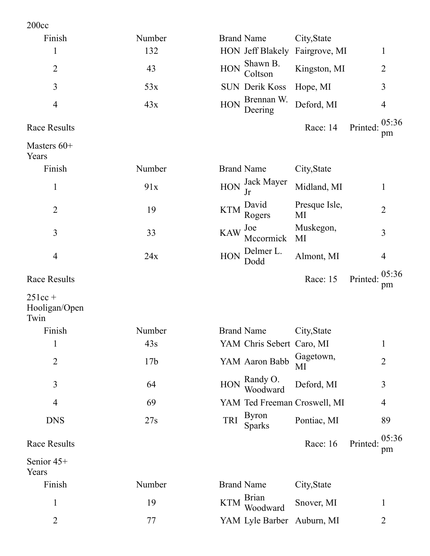| 200cc                              |                 |                                                                        |
|------------------------------------|-----------------|------------------------------------------------------------------------|
| Finish                             | Number          | <b>Brand Name</b><br>City, State                                       |
| $\mathbf{1}$                       | 132             | <b>HON</b> Jeff Blakely<br>Fairgrove, MI<br>$\mathbf{1}$               |
| $\overline{2}$                     | 43              | Shawn B.<br><b>HON</b><br>Kingston, MI<br>$\overline{2}$<br>Coltson    |
| 3                                  | 53x             | 3<br><b>SUN Derik Koss</b><br>Hope, MI                                 |
| $\overline{4}$                     | 43x             | Brennan W.<br><b>HON</b><br>Deford, MI<br>$\overline{4}$<br>Deering    |
| <b>Race Results</b>                |                 | 05:36<br>Race: 14<br>Printed:<br>pm                                    |
| Masters $60+$<br>Years             |                 |                                                                        |
| Finish                             | Number          | <b>Brand Name</b><br>City, State                                       |
| $\mathbf{1}$                       | 91x             | Jack Mayer<br><b>HON</b><br>Midland, MI<br>$\mathbf{1}$<br>Jr          |
| $\overline{2}$                     | 19              | Presque Isle,<br>David<br><b>KTM</b><br>$\overline{2}$<br>MI<br>Rogers |
| 3                                  | 33              | Muskegon,<br>Joe<br><b>KAW</b><br>3<br>Mccormick<br>MI                 |
| $\overline{4}$                     | 24x             | Delmer L.<br><b>HON</b><br>Almont, MI<br>$\overline{4}$<br>Dodd        |
| <b>Race Results</b>                |                 | 05:36<br>Race: 15<br>Printed:<br>pm                                    |
| $251cc +$<br>Hooligan/Open<br>Twin |                 |                                                                        |
| Finish                             | Number          | <b>Brand Name</b><br>City, State                                       |
| $\mathbf{1}$                       | 43s             | YAM Chris Sebert Caro, MI<br>$\mathbf{1}$                              |
| $\overline{2}$                     | 17 <sub>b</sub> | Gagetown,<br>YAM Aaron Babb<br>$\overline{2}$<br>MI                    |
| 3                                  | 64              | Randy O.<br>HON<br>Deford, MI<br>3<br>Woodward                         |
| $\overline{4}$                     | 69              | YAM Ted Freeman Croswell, MI<br>$\overline{4}$                         |
| <b>DNS</b>                         | 27s             | <b>Byron</b><br>TRI<br>Pontiac, MI<br>89<br><b>Sparks</b>              |
| <b>Race Results</b>                |                 | 05:36<br>Race: 16<br>Printed:<br>pm                                    |
| Senior 45+<br>Years                |                 |                                                                        |
| Finish                             | Number          | <b>Brand Name</b><br>City, State                                       |
| $\mathbf{1}$                       | 19              | <b>Brian</b><br><b>KTM</b><br>Snover, MI<br>$\mathbf{1}$<br>Woodward   |
| $\overline{2}$                     | 77              | YAM Lyle Barber<br>Auburn, MI<br>$\overline{2}$                        |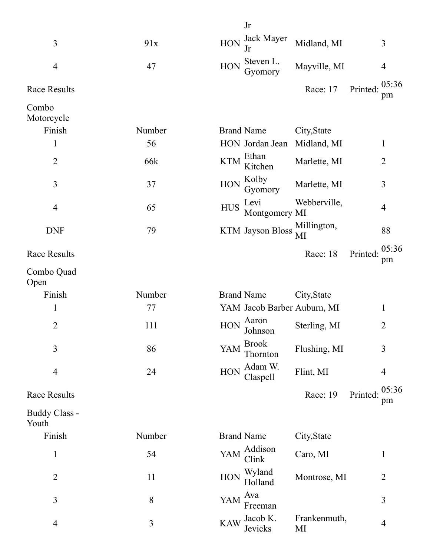|                        |        | Jr                                                      |                                     |
|------------------------|--------|---------------------------------------------------------|-------------------------------------|
| 3                      | 91x    | Jack Mayer<br><b>HON</b><br>Midland, MI<br>Jr           | 3                                   |
| $\overline{4}$         | 47     | Steven L.<br><b>HON</b><br>Mayville, MI<br>Gyomory      | $\overline{4}$                      |
| <b>Race Results</b>    |        | Race: 17                                                | 05:36<br>Printed:<br>pm             |
| Combo<br>Motorcycle    |        |                                                         |                                     |
| Finish                 | Number | <b>Brand Name</b><br>City, State                        |                                     |
| 1                      | 56     | HON Jordan Jean<br>Midland, MI                          | 1                                   |
| $\overline{2}$         | 66k    | Ethan<br><b>KTM</b><br>Marlette, MI<br>Kitchen          | $\overline{2}$                      |
| 3                      | 37     | Kolby<br><b>HON</b><br>Marlette, MI<br>Gyomory          | 3                                   |
| $\overline{4}$         | 65     | Webberville,<br>Levi<br><b>HUS</b><br>Montgomery MI     | 4                                   |
| <b>DNF</b>             | 79     | Millington,<br>KTM Jayson Bloss<br>МI                   | 88                                  |
| <b>Race Results</b>    |        | Race: 18                                                | 05:36<br>Printed:<br>pm             |
| Combo Quad<br>Open     |        |                                                         |                                     |
| Finish                 | Number | <b>Brand Name</b><br>City, State                        |                                     |
| $\mathbf{1}$           | 77     | YAM Jacob Barber Auburn, MI                             | 1                                   |
| $\overline{2}$         | 111    | Aaron<br><b>HON</b><br>Sterling, MI<br>Johnson          | 2                                   |
| 3                      | 86     | <b>Brook</b><br>Flushing, MI<br>YAM<br>Thornton         | 3                                   |
| $\overline{4}$         | 24     | Adam W.<br><b>HON</b><br>Flint, MI<br>Claspell          | $\overline{4}$                      |
| <b>Race Results</b>    |        |                                                         | 05:36<br>Race: 19<br>Printed:<br>pm |
| Buddy Class -<br>Youth |        |                                                         |                                     |
| Finish                 | Number | <b>Brand Name</b><br>City, State                        |                                     |
| $\mathbf{1}$           | 54     | Addison<br>YAM<br>Caro, MI<br>Clink                     | $\mathbf{1}$                        |
| $\overline{2}$         | 11     | Wyland<br><b>HON</b><br>Holland                         | Montrose, MI<br>$\overline{2}$      |
| 3                      | 8      | Ava<br>YAM<br>Freeman                                   | 3                                   |
| $\overline{4}$         | 3      | Frankenmuth,<br>Jacob K.<br><b>KAW</b><br>Jevicks<br>MI | 4                                   |